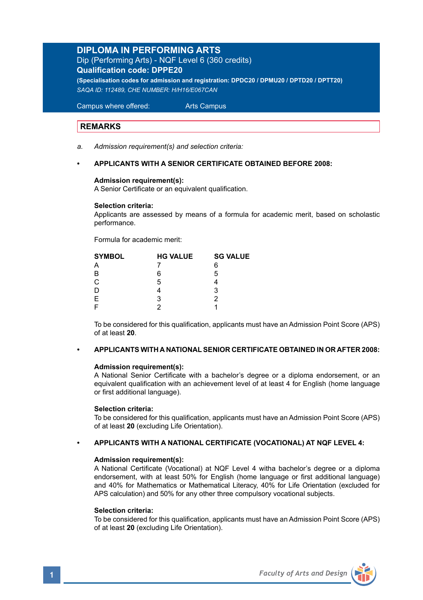## **DIPLOMA IN PERFORMING ARTS**

Dip (Performing Arts) - NQF Level 6 (360 credits) **Qualification code: DPPE20 (Specialisation codes for admission and registration: DPDC20 / DPMU20 / DPTD20 / DPTT20)**

*SAQA ID: 112489, CHE NUMBER: H/H16/E067CAN* 

Campus where offered: Arts Campus

## **REMARKS**

*a. Admission requirement(s) and selection criteria:* 

## **• APPLICANTS WITH A SENIOR CERTIFICATE OBTAINED BEFORE 2008:**

#### **Admission requirement(s):**

A Senior Certificate or an equivalent qualification.

#### **Selection criteria:**

Applicants are assessed by means of a formula for academic merit, based on scholastic performance.

Formula for academic merit:

| <b>HG VALUE</b> | <b>SG VALUE</b> |
|-----------------|-----------------|
|                 | 6               |
| 6               | 5               |
| 5               |                 |
|                 | 3               |
| 3               |                 |
|                 |                 |
|                 |                 |

 To be considered for this qualification, applicants must have an Admission Point Score (APS) of at least **20**.

## **• APPLICANTS WITH A NATIONAL SENIOR CERTIFICATE OBTAINED IN OR AFTER 2008:**

### **Admission requirement(s):**

A National Senior Certificate with a bachelor's degree or a diploma endorsement, or an equivalent qualification with an achievement level of at least 4 for English (home language or first additional language).

### **Selection criteria:**

To be considered for this qualification, applicants must have an Admission Point Score (APS) of at least **20** (excluding Life Orientation).

## **• APPLICANTS WITH A NATIONAL CERTIFICATE (VOCATIONAL) AT NQF LEVEL 4:**

### **Admission requirement(s):**

A National Certificate (Vocational) at NQF Level 4 witha bachelor's degree or a diploma endorsement, with at least 50% for English (home language or first additional language) and 40% for Mathematics or Mathematical Literacy, 40% for Life Orientation (excluded for APS calculation) and 50% for any other three compulsory vocational subjects.

### **Selection criteria:**

To be considered for this qualification, applicants must have an Admission Point Score (APS) of at least **20** (excluding Life Orientation).

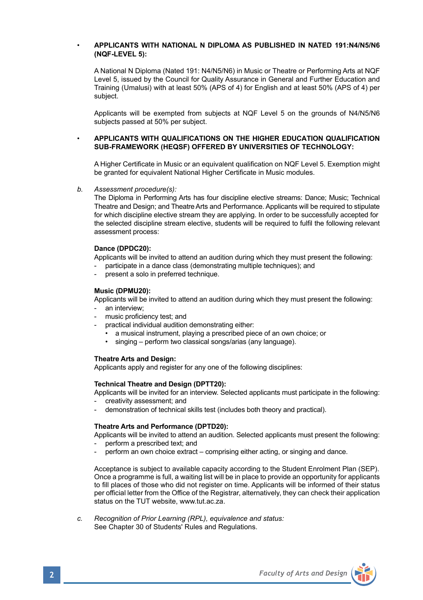### • **APPLICANTS WITH NATIONAL N DIPLOMA AS PUBLISHED IN NATED 191:N4/N5/N6 (NQF-LEVEL 5):**

A National N Diploma (Nated 191: N4/N5/N6) in Music or Theatre or Performing Arts at NQF Level 5, issued by the Council for Quality Assurance in General and Further Education and Training (Umalusi) with at least 50% (APS of 4) for English and at least 50% (APS of 4) per subject.

Applicants will be exempted from subjects at NQF Level 5 on the grounds of N4/N5/N6 subjects passed at 50% per subject.

#### • **APPLICANTS WITH QUALIFICATIONS ON THE HIGHER EDUCATION QUALIFICATION SUB-FRAMEWORK (HEQSF) OFFERED BY UNIVERSITIES OF TECHNOLOGY:**

A Higher Certificate in Music or an equivalent qualification on NQF Level 5. Exemption might be granted for equivalent National Higher Certificate in Music modules.

*b. Assessment procedure(s):*

The Diploma in Performing Arts has four discipline elective streams: Dance; Music; Technical Theatre and Design; and Theatre Arts and Performance. Applicants will be required to stipulate for which discipline elective stream they are applying. In order to be successfully accepted for the selected discipline stream elective, students will be required to fulfil the following relevant assessment process:

#### **Dance (DPDC20):**

Applicants will be invited to attend an audition during which they must present the following:

- participate in a dance class (demonstrating multiple techniques); and
- present a solo in preferred technique.

#### **Music (DPMU20):**

 Applicants will be invited to attend an audition during which they must present the following: an interview:

- music proficiency test; and
- practical individual audition demonstrating either:
	- a musical instrument, playing a prescribed piece of an own choice; or
	- singing perform two classical songs/arias (any language).

#### **Theatre Arts and Design:**

Applicants apply and register for any one of the following disciplines:

#### **Technical Theatre and Design (DPTT20):**

Applicants will be invited for an interview. Selected applicants must participate in the following:

- creativity assessment; and
- demonstration of technical skills test (includes both theory and practical).

#### **Theatre Arts and Performance (DPTD20):**

Applicants will be invited to attend an audition. Selected applicants must present the following:

- perform a prescribed text; and
- perform an own choice extract comprising either acting, or singing and dance.

Acceptance is subject to available capacity according to the Student Enrolment Plan (SEP). Once a programme is full, a waiting list will be in place to provide an opportunity for applicants to fill places of those who did not register on time. Applicants will be informed of their status per official letter from the Office of the Registrar, alternatively, they can check their application status on the TUT website, www.tut.ac.za.

*c. Recognition of Prior Learning (RPL), equivalence and status:* See Chapter 30 of Students' Rules and Regulations.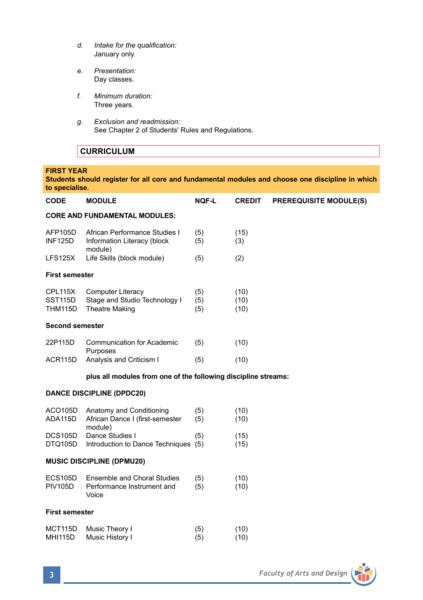- *d. Intake for the qualification:* January only.
- *e. Presentation:* Day classes.
- *f. Minimum duration:* Three years.
- *g. Exclusion and readmission:* See Chapter 2 of Students' Rules and Regulations.

## **CURRICULUM**

### **FIRST YEAR**

**Students should register for all core and fundamental modules and choose one discipline in which to specialise.**

| <b>CODE</b>                          | <b>MODULE</b>                                                                      | <b>NOF-L</b>      | <b>CREDIT</b>        | <b>PREREQUISITE MODULE(S)</b> |  |  |  |
|--------------------------------------|------------------------------------------------------------------------------------|-------------------|----------------------|-------------------------------|--|--|--|
| <b>CORE AND FUNDAMENTAL MODULES:</b> |                                                                                    |                   |                      |                               |  |  |  |
| AFP105D<br><b>INF125D</b>            | African Performance Studies I<br>Information Literacy (block<br>module)            | (5)<br>(5)        | (15)<br>(3)          |                               |  |  |  |
| <b>LFS125X</b>                       | Life Skills (block module)                                                         | (5)               | (2)                  |                               |  |  |  |
| <b>First semester</b>                |                                                                                    |                   |                      |                               |  |  |  |
| CPL115X<br>SST115D<br>THM115D        | <b>Computer Literacy</b><br>Stage and Studio Technology I<br><b>Theatre Making</b> | (5)<br>(5)<br>(5) | (10)<br>(10)<br>(10) |                               |  |  |  |
| <b>Second semester</b>               |                                                                                    |                   |                      |                               |  |  |  |
| 22P115D                              | <b>Communication for Academic</b>                                                  | (5)               | (10)                 |                               |  |  |  |
| ACR115D                              | Purposes<br>Analysis and Criticism I                                               | (5)               | (10)                 |                               |  |  |  |
|                                      | plus all modules from one of the following discipline streams:                     |                   |                      |                               |  |  |  |
|                                      | <b>DANCE DISCIPLINE (DPDC20)</b>                                                   |                   |                      |                               |  |  |  |
|                                      |                                                                                    |                   |                      |                               |  |  |  |
| ACO105D<br>ADA115D                   | Anatomy and Conditioning<br>African Dance I (first-semester                        | (5)<br>(5)        | (10)<br>(10)         |                               |  |  |  |
| <b>DCS105D</b><br>DTQ105D            | module)<br>Dance Studies I<br>Introduction to Dance Techniques (5)                 | (5)               | (15)<br>(15)         |                               |  |  |  |
|                                      | <b>MUSIC DISCIPLINE (DPMU20)</b>                                                   |                   |                      |                               |  |  |  |
| <b>ECS105D</b><br><b>PIV105D</b>     | <b>Ensemble and Choral Studies</b><br>Performance Instrument and<br>Voice          | (5)<br>(5)        | (10)<br>(10)         |                               |  |  |  |
| <b>First semester</b>                |                                                                                    |                   |                      |                               |  |  |  |

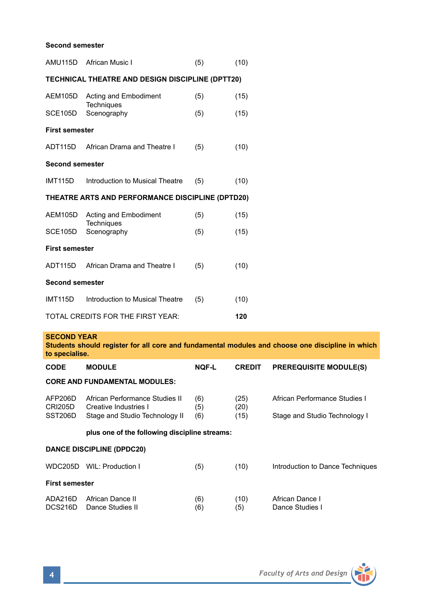### **Second semester**

| AMU115D                                          | African Music I                                                                                  | (5)          | (10)          |                                    |  |  |
|--------------------------------------------------|--------------------------------------------------------------------------------------------------|--------------|---------------|------------------------------------|--|--|
| TECHNICAL THEATRE AND DESIGN DISCIPLINE (DPTT20) |                                                                                                  |              |               |                                    |  |  |
| AEM105D                                          | Acting and Embodiment<br>Techniques                                                              | (5)          | (15)          |                                    |  |  |
| SCE105D                                          | Scenography                                                                                      | (5)          | (15)          |                                    |  |  |
| <b>First semester</b>                            |                                                                                                  |              |               |                                    |  |  |
| ADT115D                                          | African Drama and Theatre I                                                                      | (5)          | (10)          |                                    |  |  |
| <b>Second semester</b>                           |                                                                                                  |              |               |                                    |  |  |
| <b>IMT115D</b>                                   | Introduction to Musical Theatre                                                                  | (5)          | (10)          |                                    |  |  |
|                                                  | THEATRE ARTS AND PERFORMANCE DISCIPLINE (DPTD20)                                                 |              |               |                                    |  |  |
| AEM105D                                          | Acting and Embodiment                                                                            | (5)          | (15)          |                                    |  |  |
| SCE105D                                          | Techniques<br>Scenography                                                                        | (5)          | (15)          |                                    |  |  |
| <b>First semester</b>                            |                                                                                                  |              |               |                                    |  |  |
| ADT115D                                          | African Drama and Theatre I                                                                      | (5)          | (10)          |                                    |  |  |
| <b>Second semester</b>                           |                                                                                                  |              |               |                                    |  |  |
| <b>IMT115D</b>                                   | Introduction to Musical Theatre                                                                  | (5)          | (10)          |                                    |  |  |
|                                                  | TOTAL CREDITS FOR THE FIRST YEAR:                                                                |              | 120           |                                    |  |  |
| <b>SECOND YEAR</b>                               |                                                                                                  |              |               |                                    |  |  |
| to specialise.                                   | Students should register for all core and fundamental modules and choose one discipline in which |              |               |                                    |  |  |
| <b>CODE</b>                                      | <b>MODULE</b>                                                                                    | <b>NOF-L</b> | <b>CREDIT</b> | <b>PREREQUISITE MODULE(S)</b>      |  |  |
|                                                  | <b>CORE AND FUNDAMENTAL MODULES:</b>                                                             |              |               |                                    |  |  |
| AFP206D<br>CRI205D                               | African Performance Studies II<br>Creative Industries I                                          | (6)<br>(5)   | (25)<br>(20)  | African Performance Studies I      |  |  |
| SST206D                                          | Stage and Studio Technology II                                                                   | (6)          | (15)          | Stage and Studio Technology I      |  |  |
|                                                  | plus one of the following discipline streams:                                                    |              |               |                                    |  |  |
|                                                  | <b>DANCE DISCIPLINE (DPDC20)</b>                                                                 |              |               |                                    |  |  |
|                                                  | WDC205D WIL: Production I                                                                        | (5)          | (10)          | Introduction to Dance Techniques   |  |  |
| <b>First semester</b>                            |                                                                                                  |              |               |                                    |  |  |
| ADA216D<br>DCS216D                               | African Dance II<br>Dance Studies II                                                             | (6)<br>(6)   | (10)<br>(5)   | African Dance I<br>Dance Studies I |  |  |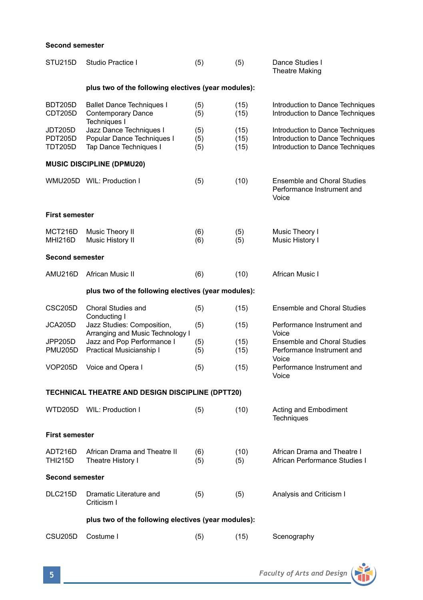### **Second semester**

| STU215D                              | Studio Practice I                                                                               | (5)               | (5)                  | Dance Studies I<br><b>Theatre Making</b>                                                                 |  |  |  |  |
|--------------------------------------|-------------------------------------------------------------------------------------------------|-------------------|----------------------|----------------------------------------------------------------------------------------------------------|--|--|--|--|
|                                      | plus two of the following electives (year modules):                                             |                   |                      |                                                                                                          |  |  |  |  |
| <b>BDT205D</b><br>CDT205D            | <b>Ballet Dance Techniques I</b><br><b>Contemporary Dance</b>                                   | (5)<br>(5)        | (15)<br>(15)         | Introduction to Dance Techniques<br>Introduction to Dance Techniques                                     |  |  |  |  |
| JDT205D<br><b>PDT205D</b><br>TDT205D | Techniques I<br>Jazz Dance Techniques I<br>Popular Dance Techniques I<br>Tap Dance Techniques I | (5)<br>(5)<br>(5) | (15)<br>(15)<br>(15) | Introduction to Dance Techniques<br>Introduction to Dance Techniques<br>Introduction to Dance Techniques |  |  |  |  |
|                                      | <b>MUSIC DISCIPLINE (DPMU20)</b>                                                                |                   |                      |                                                                                                          |  |  |  |  |
|                                      | WMU205D WIL: Production I                                                                       | (5)               | (10)                 | <b>Ensemble and Choral Studies</b><br>Performance Instrument and<br>Voice                                |  |  |  |  |
| <b>First semester</b>                |                                                                                                 |                   |                      |                                                                                                          |  |  |  |  |
| MCT216D<br>MHI216D                   | Music Theory II<br>Music History II                                                             | (6)<br>(6)        | (5)<br>(5)           | Music Theory I<br>Music History I                                                                        |  |  |  |  |
| <b>Second semester</b>               |                                                                                                 |                   |                      |                                                                                                          |  |  |  |  |
| AMU216D                              | African Music II                                                                                | (6)               | (10)                 | African Music I                                                                                          |  |  |  |  |
|                                      | plus two of the following electives (year modules):                                             |                   |                      |                                                                                                          |  |  |  |  |
| CSC205D                              | Choral Studies and<br>Conducting I                                                              | (5)               | (15)                 | <b>Ensemble and Choral Studies</b>                                                                       |  |  |  |  |
| JCA205D                              | Jazz Studies: Composition,<br>Arranging and Music Technology I                                  | (5)               | (15)                 | Performance Instrument and<br>Voice                                                                      |  |  |  |  |
| JPP205D<br><b>PMU205D</b>            | Jazz and Pop Performance I<br>Practical Musicianship I                                          | (5)<br>(5)        | (15)<br>(15)         | <b>Ensemble and Choral Studies</b><br>Performance Instrument and<br>Voice                                |  |  |  |  |
| VOP205D                              | Voice and Opera I                                                                               | (5)               | (15)                 | Performance Instrument and<br>Voice                                                                      |  |  |  |  |
|                                      | TECHNICAL THEATRE AND DESIGN DISCIPLINE (DPTT20)                                                |                   |                      |                                                                                                          |  |  |  |  |
|                                      | WTD205D WIL: Production I                                                                       | (5)               | (10)                 | Acting and Embodiment<br><b>Techniques</b>                                                               |  |  |  |  |
| <b>First semester</b>                |                                                                                                 |                   |                      |                                                                                                          |  |  |  |  |
| ADT216D<br>THI215D                   | African Drama and Theatre II<br>Theatre History I                                               | (6)<br>(5)        | (10)<br>(5)          | African Drama and Theatre I<br>African Performance Studies I                                             |  |  |  |  |
| <b>Second semester</b>               |                                                                                                 |                   |                      |                                                                                                          |  |  |  |  |
| <b>DLC215D</b>                       | Dramatic Literature and<br>Criticism I                                                          | (5)               | (5)                  | Analysis and Criticism I                                                                                 |  |  |  |  |
|                                      | plus two of the following electives (year modules):                                             |                   |                      |                                                                                                          |  |  |  |  |
| <b>CSU205D</b>                       | Costume I                                                                                       | (5)               | (15)                 | Scenography                                                                                              |  |  |  |  |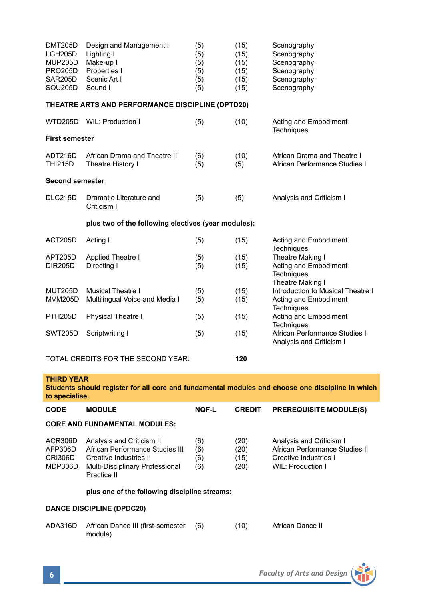| <b>DMT205D</b><br>LGH205D<br><b>MUP205D</b><br><b>PRO205D</b><br>SAR205D<br>SOU205D | Design and Management I<br>Lighting I<br>Make-up I<br>Properties I<br>Scenic Art I<br>Sound I | (5)<br>(5)<br>(5)<br>(5)<br>(5)<br>(5) | (15)<br>(15)<br>(15)<br>(15)<br>(15)<br>(15) | Scenography<br>Scenography<br>Scenography<br>Scenography<br>Scenography<br>Scenography |
|-------------------------------------------------------------------------------------|-----------------------------------------------------------------------------------------------|----------------------------------------|----------------------------------------------|----------------------------------------------------------------------------------------|
|                                                                                     | THEATRE ARTS AND PERFORMANCE DISCIPLINE (DPTD20)                                              |                                        |                                              |                                                                                        |
| <b>WTD205D</b>                                                                      | WIL: Production I                                                                             | (5)                                    | (10)                                         | Acting and Embodiment<br>Techniques                                                    |
| <b>First semester</b>                                                               |                                                                                               |                                        |                                              |                                                                                        |
| ADT216D<br><b>THI215D</b>                                                           | African Drama and Theatre II<br>Theatre History I                                             | (6)<br>(5)                             | (10)<br>(5)                                  | African Drama and Theatre I<br>African Performance Studies I                           |
| <b>Second semester</b>                                                              |                                                                                               |                                        |                                              |                                                                                        |
| DLC215D                                                                             | Dramatic Literature and<br>Criticism I                                                        | (5)                                    | (5)                                          | Analysis and Criticism I                                                               |
|                                                                                     | plus two of the following electives (year modules):                                           |                                        |                                              |                                                                                        |
| <b>ACT205D</b>                                                                      | Acting I                                                                                      | (5)                                    | (15)                                         | Acting and Embodiment<br><b>Techniques</b>                                             |
| APT205D                                                                             | Applied Theatre I                                                                             | (5)                                    | (15)                                         | Theatre Making I                                                                       |
| <b>DIR205D</b>                                                                      | Directing I                                                                                   | (5)                                    | (15)                                         | Acting and Embodiment<br>Techniques<br>Theatre Making I                                |
| <b>MUT205D</b>                                                                      | <b>Musical Theatre I</b>                                                                      | (5)                                    | (15)                                         | Introduction to Musical Theatre I                                                      |
| <b>MVM205D</b>                                                                      | Multilingual Voice and Media I                                                                | (5)                                    | (15)                                         | Acting and Embodiment<br><b>Techniques</b>                                             |
| <b>PTH205D</b>                                                                      | <b>Physical Theatre I</b>                                                                     | (5)                                    | (15)                                         | Acting and Embodiment<br>Techniques                                                    |
| <b>SWT205D</b>                                                                      | Scriptwriting I                                                                               | (5)                                    | (15)                                         | African Performance Studies I<br>Analysis and Criticism I                              |
|                                                                                     | TOTAL CREDITS FOR THE SECOND YEAR:                                                            |                                        | 120                                          |                                                                                        |

#### **THIRD YEAR**

**Students should register for all core and fundamental modules and choose one discipline in which to specialise.**

| <b>CODE</b>                                   | <b>MODULE</b>                                                                                                                            | <b>NOF-L</b>             | <b>CREDIT</b>                | <b>PREREQUISITE MODULE(S)</b>                                                                            |  |  |  |
|-----------------------------------------------|------------------------------------------------------------------------------------------------------------------------------------------|--------------------------|------------------------------|----------------------------------------------------------------------------------------------------------|--|--|--|
| <b>CORE AND FUNDAMENTAL MODULES:</b>          |                                                                                                                                          |                          |                              |                                                                                                          |  |  |  |
| ACR306D<br>AFP306D<br>CRI306D<br>MDP306D      | Analysis and Criticism II<br>African Performance Studies III<br>Creative Industries II<br>Multi-Disciplinary Professional<br>Practice II | (6)<br>(6)<br>(6)<br>(6) | (20)<br>(20)<br>(15)<br>(20) | Analysis and Criticism I<br>African Performance Studies II<br>Creative Industries I<br>WIL: Production I |  |  |  |
| plus one of the following discipline streams: |                                                                                                                                          |                          |                              |                                                                                                          |  |  |  |
| <b>DANCE DISCIPLINE (DPDC20)</b>              |                                                                                                                                          |                          |                              |                                                                                                          |  |  |  |

| ADA316D African Dance III (first-semester (6) | (10) | African Dance II |
|-----------------------------------------------|------|------------------|
| module)                                       |      |                  |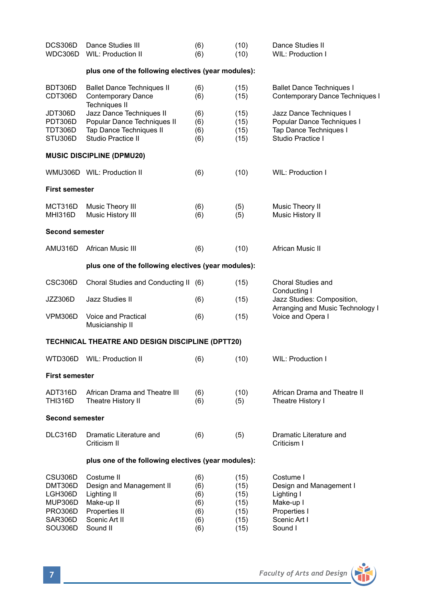| DCS306D<br>WDC306D                                                    | Dance Studies III<br><b>WIL: Production II</b>                                                           | (6)<br>(6)                             | (10)<br>(10)                                 | Dance Studies II<br>WIL: Production I                                                                |  |  |  |
|-----------------------------------------------------------------------|----------------------------------------------------------------------------------------------------------|----------------------------------------|----------------------------------------------|------------------------------------------------------------------------------------------------------|--|--|--|
| plus one of the following electives (year modules):                   |                                                                                                          |                                        |                                              |                                                                                                      |  |  |  |
| BDT306D<br>CDT306D                                                    | <b>Ballet Dance Techniques II</b><br><b>Contemporary Dance</b><br><b>Techniques II</b>                   | (6)<br>(6)                             | (15)<br>(15)                                 | <b>Ballet Dance Techniques I</b><br>Contemporary Dance Techniques I                                  |  |  |  |
| JDT306D<br>PDT306D<br>TDT306D<br>STU306D                              | Jazz Dance Techniques II<br>Popular Dance Techniques II<br>Tap Dance Techniques II<br>Studio Practice II | (6)<br>(6)<br>(6)<br>(6)               | (15)<br>(15)<br>(15)<br>(15)                 | Jazz Dance Techniques I<br>Popular Dance Techniques I<br>Tap Dance Techniques I<br>Studio Practice I |  |  |  |
|                                                                       | <b>MUSIC DISCIPLINE (DPMU20)</b>                                                                         |                                        |                                              |                                                                                                      |  |  |  |
|                                                                       | WMU306D WIL: Production II                                                                               | (6)                                    | (10)                                         | WIL: Production I                                                                                    |  |  |  |
| <b>First semester</b>                                                 |                                                                                                          |                                        |                                              |                                                                                                      |  |  |  |
| MCT316D<br><b>MHI316D</b>                                             | Music Theory III<br>Music History III                                                                    | (6)<br>(6)                             | (5)<br>(5)                                   | Music Theory II<br>Music History II                                                                  |  |  |  |
| <b>Second semester</b>                                                |                                                                                                          |                                        |                                              |                                                                                                      |  |  |  |
| AMU316D                                                               | African Music III                                                                                        | (6)                                    | (10)                                         | African Music II                                                                                     |  |  |  |
|                                                                       | plus one of the following electives (year modules):                                                      |                                        |                                              |                                                                                                      |  |  |  |
| CSC306D                                                               | Choral Studies and Conducting II (6)                                                                     |                                        | (15)                                         | Choral Studies and<br>Conducting I                                                                   |  |  |  |
| JZZ306D                                                               | Jazz Studies II                                                                                          | (6)                                    | (15)                                         | Jazz Studies: Composition,<br>Arranging and Music Technology I                                       |  |  |  |
| VPM306D                                                               | Voice and Practical<br>Musicianship II                                                                   | (6)                                    | (15)                                         | Voice and Opera I                                                                                    |  |  |  |
|                                                                       | TECHNICAL THEATRE AND DESIGN DISCIPLINE (DPTT20)                                                         |                                        |                                              |                                                                                                      |  |  |  |
|                                                                       | WTD306D WIL: Production II                                                                               | (6)                                    | (10)                                         | WIL: Production I                                                                                    |  |  |  |
| <b>First semester</b>                                                 |                                                                                                          |                                        |                                              |                                                                                                      |  |  |  |
| ADT316D<br>THI316D                                                    | African Drama and Theatre III<br>Theatre History II                                                      | (6)<br>(6)                             | (10)<br>(5)                                  | African Drama and Theatre II<br>Theatre History I                                                    |  |  |  |
| Second semester                                                       |                                                                                                          |                                        |                                              |                                                                                                      |  |  |  |
| DLC316D                                                               | Dramatic Literature and<br>Criticism II                                                                  | (6)                                    | (5)                                          | Dramatic Literature and<br>Criticism I                                                               |  |  |  |
|                                                                       | plus one of the following electives (year modules):                                                      |                                        |                                              |                                                                                                      |  |  |  |
| CSU306D<br>DMT306D<br>LGH306D<br><b>MUP306D</b><br>PRO306D<br>SAR306D | Costume II<br>Design and Management II<br>Lighting II<br>Make-up II<br>Properties II<br>Scenic Art II    | (6)<br>(6)<br>(6)<br>(6)<br>(6)<br>(6) | (15)<br>(15)<br>(15)<br>(15)<br>(15)<br>(15) | Costume I<br>Design and Management I<br>Lighting I<br>Make-up I<br>Properties I<br>Scenic Art I      |  |  |  |
| SOU306D                                                               | Sound II                                                                                                 | (6)                                    | (15)                                         | Sound I                                                                                              |  |  |  |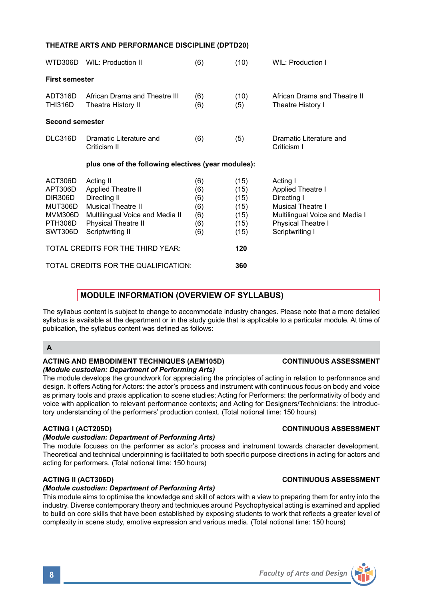# **THEATRE ARTS AND PERFORMANCE DISCIPLINE (DPTD20)**

| WTD306D                                                                   | WIL: Production II                                                                                                                                                       | (6)                                           | (10)                                                 | WIL: Production I                                                                                                                                   |
|---------------------------------------------------------------------------|--------------------------------------------------------------------------------------------------------------------------------------------------------------------------|-----------------------------------------------|------------------------------------------------------|-----------------------------------------------------------------------------------------------------------------------------------------------------|
| <b>First semester</b>                                                     |                                                                                                                                                                          |                                               |                                                      |                                                                                                                                                     |
| ADT316D<br><b>THI316D</b>                                                 | African Drama and Theatre III<br>Theatre History II                                                                                                                      | (6)<br>(6)                                    | (10)<br>(5)                                          | African Drama and Theatre II<br>Theatre History I                                                                                                   |
| <b>Second semester</b>                                                    |                                                                                                                                                                          |                                               |                                                      |                                                                                                                                                     |
| DLC316D                                                                   | Dramatic Literature and<br>Criticism II                                                                                                                                  | (6)                                           | (5)                                                  | Dramatic Literature and<br>Criticism I                                                                                                              |
|                                                                           | plus one of the following electives (year modules):                                                                                                                      |                                               |                                                      |                                                                                                                                                     |
| ACT306D<br>APT306D<br>DIR306D<br>MUT306D<br>MVM306D<br>PTH306D<br>SWT306D | Acting II<br><b>Applied Theatre II</b><br>Directing II<br><b>Musical Theatre II</b><br>Multilingual Voice and Media II<br><b>Physical Theatre II</b><br>Scriptwriting II | (6)<br>(6)<br>(6)<br>(6)<br>(6)<br>(6)<br>(6) | (15)<br>(15)<br>(15)<br>(15)<br>(15)<br>(15)<br>(15) | Acting I<br>Applied Theatre I<br>Directing I<br><b>Musical Theatre I</b><br>Multilingual Voice and Media I<br>Physical Theatre I<br>Scriptwriting I |
|                                                                           | TOTAL CREDITS FOR THE THIRD YEAR:                                                                                                                                        |                                               | 120                                                  |                                                                                                                                                     |
|                                                                           | TOTAL CREDITS FOR THE QUALIFICATION:                                                                                                                                     |                                               | 360                                                  |                                                                                                                                                     |

## **MODULE INFORMATION (OVERVIEW OF SYLLABUS)**

The syllabus content is subject to change to accommodate industry changes. Please note that a more detailed syllabus is available at the department or in the study guide that is applicable to a particular module. At time of publication, the syllabus content was defined as follows:

### **A**

#### **ACTING AND EMBODIMENT TECHNIQUES (AEM105D) CONTINUOUS ASSESSMENT** *(Module custodian: Department of Performing Arts)*

The module develops the groundwork for appreciating the principles of acting in relation to performance and design. It offers Acting for Actors: the actor's process and instrument with continuous focus on body and voice as primary tools and praxis application to scene studies; Acting for Performers: the performativity of body and voice with application to relevant performance contexts; and Acting for Designers/Technicians: the introductory understanding of the performers' production context. (Total notional time: 150 hours)

### **ACTING I (ACT205D) CONTINUOUS ASSESSMENT**

## *(Module custodian: Department of Performing Arts)*

The module focuses on the performer as actor's process and instrument towards character development. Theoretical and technical underpinning is facilitated to both specific purpose directions in acting for actors and acting for performers. (Total notional time: 150 hours)

## **ACTING II (ACT306D) CONTINUOUS ASSESSMENT**

### *(Module custodian: Department of Performing Arts)*

This module aims to optimise the knowledge and skill of actors with a view to preparing them for entry into the industry. Diverse contemporary theory and techniques around Psychophysical acting is examined and applied to build on core skills that have been established by exposing students to work that reflects a greater level of complexity in scene study, emotive expression and various media. (Total notional time: 150 hours)

**8** *Faculty of Arts and Design*

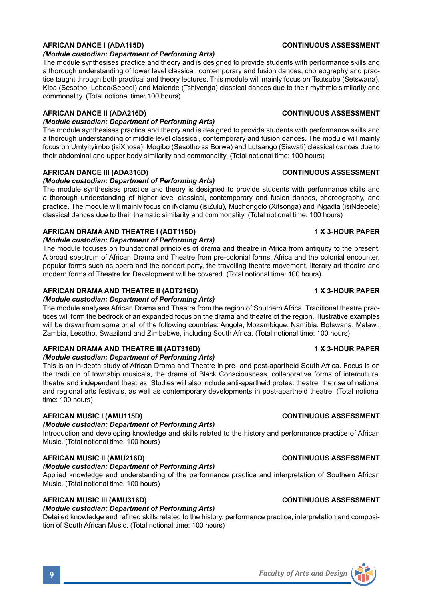#### *(Module custodian: Department of Performing Arts)*

The module synthesises practice and theory and is designed to provide students with performance skills and a thorough understanding of lower level classical, contemporary and fusion dances, choreography and practice taught through both practical and theory lectures. This module will mainly focus on Tsutsube (Setswana), Kiba (Sesotho, Leboa/Sepedi) and Malende (Tshivenda) classical dances due to their rhythmic similarity and commonality. (Total notional time: 100 hours)

### **AFRICAN DANCE II (ADA216D) CONTINUOUS ASSESSMENT**

### *(Module custodian: Department of Performing Arts)*

The module synthesises practice and theory and is designed to provide students with performance skills and a thorough understanding of middle level classical, contemporary and fusion dances. The module will mainly focus on Umtyityimbo (isiXhosa), Mogibo (Sesotho sa Borwa) and Lutsango (Siswati) classical dances due to their abdominal and upper body similarity and commonality. (Total notional time: 100 hours)

#### **AFRICAN DANCE III (ADA316D) CONTINUOUS ASSESSMENT**

#### *(Module custodian: Department of Performing Arts)*

The module synthesises practice and theory is designed to provide students with performance skills and a thorough understanding of higher level classical, contemporary and fusion dances, choreography, and practice. The module will mainly focus on iNdlamu (isiZulu), Muchongolo (Xitsonga) and iNgadla (isiNdebele) classical dances due to their thematic similarity and commonality. (Total notional time: 100 hours)

#### **AFRICAN DRAMA AND THEATRE I (ADT115D) 1 X 3-HOUR PAPER**

#### *(Module custodian: Department of Performing Arts)*

The module focuses on foundational principles of drama and theatre in Africa from antiquity to the present. A broad spectrum of African Drama and Theatre from pre-colonial forms, Africa and the colonial encounter, popular forms such as opera and the concert party, the travelling theatre movement, literary art theatre and modern forms of Theatre for Development will be covered. (Total notional time: 100 hours)

#### **AFRICAN DRAMA AND THEATRE II (ADT216D) 1 X 3-HOUR PAPER**

#### *(Module custodian: Department of Performing Arts)*

The module analyses African Drama and Theatre from the region of Southern Africa. Traditional theatre practices will form the bedrock of an expanded focus on the drama and theatre of the region. Illustrative examples will be drawn from some or all of the following countries: Angola, Mozambique, Namibia, Botswana, Malawi, Zambia, Lesotho, Swaziland and Zimbabwe, including South Africa. (Total notional time: 100 hours)

#### **AFRICAN DRAMA AND THEATRE III (ADT316D) 1 X 3-HOUR PAPER** *(Module custodian: Department of Performing Arts)*

This is an in-depth study of African Drama and Theatre in pre- and post-apartheid South Africa. Focus is on the tradition of township musicals, the drama of Black Consciousness, collaborative forms of intercultural theatre and independent theatres. Studies will also include anti-apartheid protest theatre, the rise of national and regional arts festivals, as well as contemporary developments in post-apartheid theatre. (Total notional time: 100 hours)

### **AFRICAN MUSIC I (AMU115D) CONTINUOUS ASSESSMENT**

#### *(Module custodian: Department of Performing Arts)*

Introduction and developing knowledge and skills related to the history and performance practice of African Music. (Total notional time: 100 hours)

#### **AFRICAN MUSIC II (AMU216D) CONTINUOUS ASSESSMENT**

### *(Module custodian: Department of Performing Arts)*

Applied knowledge and understanding of the performance practice and interpretation of Southern African Music. (Total notional time: 100 hours)

#### **AFRICAN MUSIC III (AMU316D) CONTINUOUS ASSESSMENT**

## *(Module custodian: Department of Performing Arts)*

Detailed knowledge and refined skills related to the history, performance practice, interpretation and composition of South African Music. (Total notional time: 100 hours)



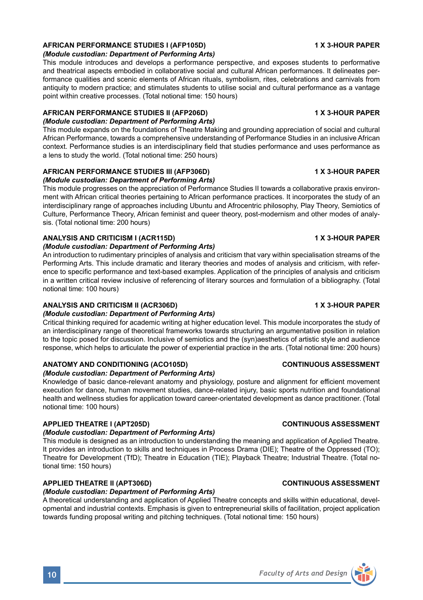## **AFRICAN PERFORMANCE STUDIES I (AFP105D) 1 X 3-HOUR PAPER**

#### *(Module custodian: Department of Performing Arts)*

This module introduces and develops a performance perspective, and exposes students to performative and theatrical aspects embodied in collaborative social and cultural African performances. It delineates performance qualities and scenic elements of African rituals, symbolism, rites, celebrations and carnivals from antiquity to modern practice; and stimulates students to utilise social and cultural performance as a vantage point within creative processes. (Total notional time: 150 hours)

#### **AFRICAN PERFORMANCE STUDIES II (AFP206D) 1 X 3-HOUR PAPER** *(Module custodian: Department of Performing Arts)*

This module expands on the foundations of Theatre Making and grounding appreciation of social and cultural African Performance, towards a comprehensive understanding of Performance Studies in an inclusive African context. Performance studies is an interdisciplinary field that studies performance and uses performance as a lens to study the world. (Total notional time: 250 hours)

### **AFRICAN PERFORMANCE STUDIES III (AFP306D) 1 X 3-HOUR PAPER**

#### *(Module custodian: Department of Performing Arts)*

This module progresses on the appreciation of Performance Studies II towards a collaborative praxis environment with African critical theories pertaining to African performance practices. It incorporates the study of an interdisciplinary range of approaches including Ubuntu and Afrocentric philosophy, Play Theory, Semiotics of Culture, Performance Theory, African feminist and queer theory, post-modernism and other modes of analysis. (Total notional time: 200 hours)

#### **ANALYSIS AND CRITICISM I (ACR115D) 1 X 3-HOUR PAPER** *(Module custodian: Department of Performing Arts)*

An introduction to rudimentary principles of analysis and criticism that vary within specialisation streams of the Performing Arts. This include dramatic and literary theories and modes of analysis and criticism, with reference to specific performance and text-based examples. Application of the principles of analysis and criticism in a written critical review inclusive of referencing of literary sources and formulation of a bibliography. (Total notional time: 100 hours)

### **ANALYSIS AND CRITICISM II (ACR306D) 1 X 3-HOUR PAPER**

### *(Module custodian: Department of Performing Arts)*

Critical thinking required for academic writing at higher education level. This module incorporates the study of an interdisciplinary range of theoretical frameworks towards structuring an argumentative position in relation to the topic posed for discussion. Inclusive of semiotics and the (syn)aesthetics of artistic style and audience response, which helps to articulate the power of experiential practice in the arts. (Total notional time: 200 hours)

### **ANATOMY AND CONDITIONING (ACO105D) CONTINUOUS ASSESSMENT**

## *(Module custodian: Department of Performing Arts)*

Knowledge of basic dance-relevant anatomy and physiology, posture and alignment for efficient movement execution for dance, human movement studies, dance-related injury, basic sports nutrition and foundational health and wellness studies for application toward career-orientated development as dance practitioner. (Total notional time: 100 hours)

### **APPLIED THEATRE I (APT205D) CONTINUOUS ASSESSMENT**

#### *(Module custodian: Department of Performing Arts)*

This module is designed as an introduction to understanding the meaning and application of Applied Theatre. It provides an introduction to skills and techniques in Process Drama (DIE); Theatre of the Oppressed (TO); Theatre for Development (TfD); Theatre in Education (TIE); Playback Theatre; Industrial Theatre. (Total notional time: 150 hours)

#### **APPLIED THEATRE II (APT306D) CONTINUOUS ASSESSMENT**

## *(Module custodian: Department of Performing Arts)*

A theoretical understanding and application of Applied Theatre concepts and skills within educational, developmental and industrial contexts. Emphasis is given to entrepreneurial skills of facilitation, project application towards funding proposal writing and pitching techniques. (Total notional time: 150 hours)

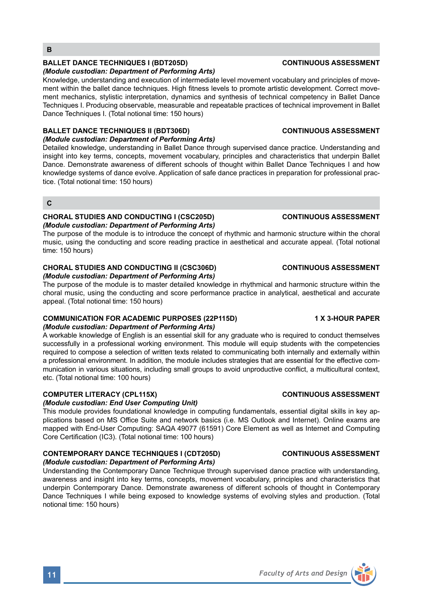## **BALLET DANCE TECHNIQUES I (BDT205D) CONTINUOUS ASSESSMENT**

### *(Module custodian: Department of Performing Arts)*

Knowledge, understanding and execution of intermediate level movement vocabulary and principles of movement within the ballet dance techniques. High fitness levels to promote artistic development. Correct movement mechanics, stylistic interpretation, dynamics and synthesis of technical competency in Ballet Dance Techniques I. Producing observable, measurable and repeatable practices of technical improvement in Ballet Dance Techniques I. (Total notional time: 150 hours)

### **BALLET DANCE TECHNIQUES II (BDT306D) CONTINUOUS ASSESSMENT**

### *(Module custodian: Department of Performing Arts)*

Detailed knowledge, understanding in Ballet Dance through supervised dance practice. Understanding and insight into key terms, concepts, movement vocabulary, principles and characteristics that underpin Ballet Dance. Demonstrate awareness of different schools of thought within Ballet Dance Techniques I and how knowledge systems of dance evolve. Application of safe dance practices in preparation for professional practice. (Total notional time: 150 hours)

### **C**

## **CHORAL STUDIES AND CONDUCTING I (CSC205D) CONTINUOUS ASSESSMENT** *(Module custodian: Department of Performing Arts)*

The purpose of the module is to introduce the concept of rhythmic and harmonic structure within the choral music, using the conducting and score reading practice in aesthetical and accurate appeal. (Total notional time: 150 hours)

## **CHORAL STUDIES AND CONDUCTING II (CSC306D) CONTINUOUS ASSESSMENT**

#### *(Module custodian: Department of Performing Arts)*

The purpose of the module is to master detailed knowledge in rhythmical and harmonic structure within the choral music, using the conducting and score performance practice in analytical, aesthetical and accurate appeal. (Total notional time: 150 hours)

## **COMMUNICATION FOR ACADEMIC PURPOSES (22P115D) 1 X 3-HOUR PAPER**

### *(Module custodian: Department of Performing Arts)*

A workable knowledge of English is an essential skill for any graduate who is required to conduct themselves successfully in a professional working environment. This module will equip students with the competencies required to compose a selection of written texts related to communicating both internally and externally within a professional environment. In addition, the module includes strategies that are essential for the effective communication in various situations, including small groups to avoid unproductive conflict, a multicultural context, etc. (Total notional time: 100 hours)

## **COMPUTER LITERACY (CPL115X) CONTINUOUS ASSESSMENT**

### *(Module custodian: End User Computing Unit)*

This module provides foundational knowledge in computing fundamentals, essential digital skills in key applications based on MS Office Suite and network basics (i.e. MS Outlook and Internet). Online exams are mapped with End-User Computing: SAQA 49077 (61591) Core Element as well as Internet and Computing Core Certification (IC3). (Total notional time: 100 hours)

## **CONTEMPORARY DANCE TECHNIQUES I (CDT205D) CONTINUOUS ASSESSMENT**

### *(Module custodian: Department of Performing Arts)*

Understanding the Contemporary Dance Technique through supervised dance practice with understanding, awareness and insight into key terms, concepts, movement vocabulary, principles and characteristics that underpin Contemporary Dance. Demonstrate awareness of different schools of thought in Contemporary Dance Techniques I while being exposed to knowledge systems of evolving styles and production. (Total notional time: 150 hours)

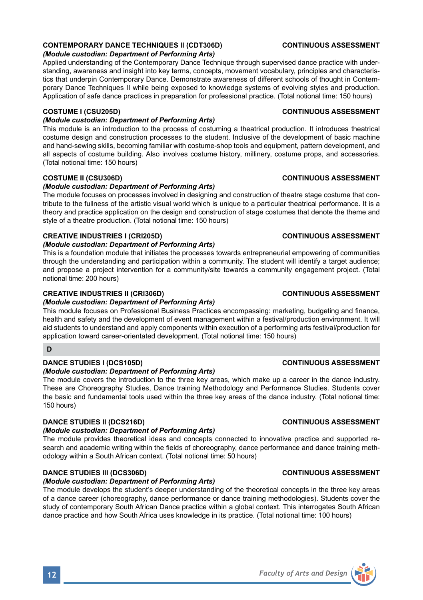#### *(Module custodian: Department of Performing Arts)*  The module covers the introduction to the three key areas, which make up a career in the dance industry. These are Choreography Studies, Dance training Methodology and Performance Studies. Students cover

## **DANCE STUDIES II (DCS216D) CONTINUOUS ASSESSMENT**

### *(Module custodian: Department of Performing Arts)*

The module provides theoretical ideas and concepts connected to innovative practice and supported research and academic writing within the fields of choreography, dance performance and dance training methodology within a South African context. (Total notional time: 50 hours)

the basic and fundamental tools used within the three key areas of the dance industry. (Total notional time:

### **DANCE STUDIES III (DCS306D) CONTINUOUS ASSESSMENT**

### *(Module custodian: Department of Performing Arts)*

The module develops the student's deeper understanding of the theoretical concepts in the three key areas of a dance career (choreography, dance performance or dance training methodologies). Students cover the study of contemporary South African Dance practice within a global context. This interrogates South African dance practice and how South Africa uses knowledge in its practice. (Total notional time: 100 hours)

# **CONTEMPORARY DANCE TECHNIQUES II (CDT306D) CONTINUOUS ASSESSMENT**

### *(Module custodian: Department of Performing Arts)*

Applied understanding of the Contemporary Dance Technique through supervised dance practice with understanding, awareness and insight into key terms, concepts, movement vocabulary, principles and characteristics that underpin Contemporary Dance. Demonstrate awareness of different schools of thought in Contemporary Dance Techniques II while being exposed to knowledge systems of evolving styles and production. Application of safe dance practices in preparation for professional practice. (Total notional time: 150 hours)

### **COSTUME I (CSU205D) CONTINUOUS ASSESSMENT**

### *(Module custodian: Department of Performing Arts)*

This module is an introduction to the process of costuming a theatrical production. It introduces theatrical costume design and construction processes to the student. Inclusive of the development of basic machine and hand-sewing skills, becoming familiar with costume-shop tools and equipment, pattern development, and all aspects of costume building. Also involves costume history, millinery, costume props, and accessories. (Total notional time: 150 hours)

### **COSTUME II (CSU306D) CONTINUOUS ASSESSMENT**

### *(Module custodian: Department of Performing Arts)*

The module focuses on processes involved in designing and construction of theatre stage costume that contribute to the fullness of the artistic visual world which is unique to a particular theatrical performance. It is a theory and practice application on the design and construction of stage costumes that denote the theme and style of a theatre production. (Total notional time: 150 hours)

### **CREATIVE INDUSTRIES I (CRI205D) CONTINUOUS ASSESSMENT**

#### *(Module custodian: Department of Performing Arts)*

This is a foundation module that initiates the processes towards entrepreneurial empowering of communities through the understanding and participation within a community. The student will identify a target audience; and propose a project intervention for a community/site towards a community engagement project. (Total notional time: 200 hours)

### **CREATIVE INDUSTRIES II (CRI306D) CONTINUOUS ASSESSMENT**

### *(Module custodian: Department of Performing Arts)*

This module focuses on Professional Business Practices encompassing: marketing, budgeting and finance, health and safety and the development of event management within a festival/production environment. It will aid students to understand and apply components within execution of a performing arts festival/production for application toward career-orientated development. (Total notional time: 150 hours)

## **DANCE STUDIES I (DCS105D) CONTINUOUS ASSESSMENT**

**D**

150 hours)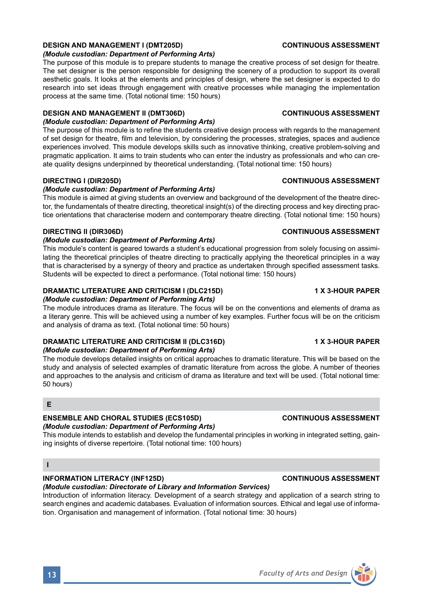## *(Module custodian: Department of Performing Arts)*

The module develops detailed insights on critical approaches to dramatic literature. This will be based on the study and analysis of selected examples of dramatic literature from across the globe. A number of theories and approaches to the analysis and criticism of drama as literature and text will be used. (Total notional time: 50 hours)

#### **E**

### **ENSEMBLE AND CHORAL STUDIES (ECS105D) CONTINUOUS ASSESSMENT**

### *(Module custodian: Department of Performing Arts)*

This module intends to establish and develop the fundamental principles in working in integrated setting, gaining insights of diverse repertoire. (Total notional time: 100 hours)

#### **I**

## **INFORMATION LITERACY (INF125D) CONTINUOUS ASSESSMENT**

*(Module custodian: Directorate of Library and Information Services)*  Introduction of information literacy. Development of a search strategy and application of a search string to search engines and academic databases. Evaluation of information sources. Ethical and legal use of information. Organisation and management of information. (Total notional time: 30 hours)

### *(Module custodian: Department of Performing Arts)*

The purpose of this module is to prepare students to manage the creative process of set design for theatre. The set designer is the person responsible for designing the scenery of a production to support its overall aesthetic goals. It looks at the elements and principles of design, where the set designer is expected to do research into set ideas through engagement with creative processes while managing the implementation process at the same time. (Total notional time: 150 hours)

### **DESIGN AND MANAGEMENT II (DMT306D) CONTINUOUS ASSESSMENT**

#### *(Module custodian: Department of Performing Arts)*

The purpose of this module is to refine the students creative design process with regards to the management of set design for theatre, film and television, by considering the processes, strategies, spaces and audience experiences involved. This module develops skills such as innovative thinking, creative problem-solving and pragmatic application. It aims to train students who can enter the industry as professionals and who can create quality designs underpinned by theoretical understanding. (Total notional time: 150 hours)

### *(Module custodian: Department of Performing Arts)*

This module is aimed at giving students an overview and background of the development of the theatre director, the fundamentals of theatre directing, theoretical insight(s) of the directing process and key directing practice orientations that characterise modern and contemporary theatre directing. (Total notional time: 150 hours)

#### **DIRECTING II (DIR306D) CONTINUOUS ASSESSMENT**

#### *(Module custodian: Department of Performing Arts)*

This module's content is geared towards a student's educational progression from solely focusing on assimilating the theoretical principles of theatre directing to practically applying the theoretical principles in a way that is characterised by a synergy of theory and practice as undertaken through specified assessment tasks. Students will be expected to direct a performance. (Total notional time: 150 hours)

### **DRAMATIC LITERATURE AND CRITICISM I (DLC215D) 1 X 3-HOUR PAPER**

#### *(Module custodian: Department of Performing Arts)*

The module introduces drama as literature. The focus will be on the conventions and elements of drama as a literary genre. This will be achieved using a number of key examples. Further focus will be on the criticism and analysis of drama as text. (Total notional time: 50 hours)

## **DRAMATIC LITERATURE AND CRITICISM II (DLC316D) 1 X 3-HOUR PAPER**

#### **DESIGN AND MANAGEMENT I (DMT205D) CONTINUOUS ASSESSMENT**

#### **DIRECTING I (DIR205D) CONTINUOUS ASSESSMENT**

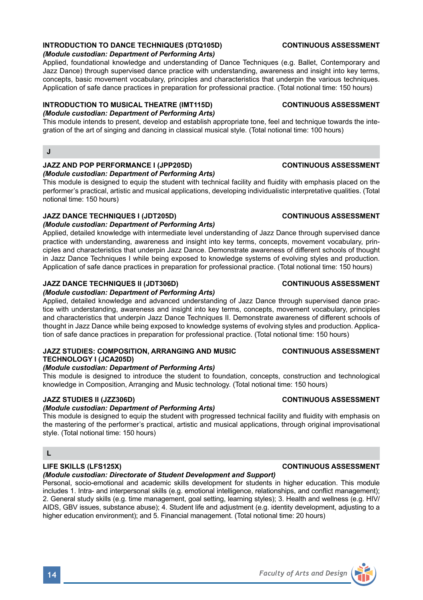## **INTRODUCTION TO DANCE TECHNIQUES (DTQ105D) CONTINUOUS ASSESSMENT**

#### *(Module custodian: Department of Performing Arts)*

Applied, foundational knowledge and understanding of Dance Techniques (e.g. Ballet, Contemporary and Jazz Dance) through supervised dance practice with understanding, awareness and insight into key terms, concepts, basic movement vocabulary, principles and characteristics that underpin the various techniques. Application of safe dance practices in preparation for professional practice. (Total notional time: 150 hours)

#### **INTRODUCTION TO MUSICAL THEATRE (IMT115D) CONTINUOUS ASSESSMENT**

## *(Module custodian: Department of Performing Arts)*

This module intends to present, develop and establish appropriate tone, feel and technique towards the integration of the art of singing and dancing in classical musical style. (Total notional time: 100 hours)

### **J**

## **JAZZ AND POP PERFORMANCE I (JPP205D) CONTINUOUS ASSESSMENT**

*(Module custodian: Department of Performing Arts)* 

This module is designed to equip the student with technical facility and fluidity with emphasis placed on the performer's practical, artistic and musical applications, developing individualistic interpretative qualities. (Total notional time: 150 hours)

### **JAZZ DANCE TECHNIQUES I (JDT205D) CONTINUOUS ASSESSMENT**

### *(Module custodian: Department of Performing Arts)*

Applied, detailed knowledge with intermediate level understanding of Jazz Dance through supervised dance practice with understanding, awareness and insight into key terms, concepts, movement vocabulary, principles and characteristics that underpin Jazz Dance. Demonstrate awareness of different schools of thought in Jazz Dance Techniques I while being exposed to knowledge systems of evolving styles and production. Application of safe dance practices in preparation for professional practice. (Total notional time: 150 hours)

#### **JAZZ DANCE TECHNIQUES II (JDT306D) CONTINUOUS ASSESSMENT**

#### *(Module custodian: Department of Performing Arts)*

Applied, detailed knowledge and advanced understanding of Jazz Dance through supervised dance practice with understanding, awareness and insight into key terms, concepts, movement vocabulary, principles and characteristics that underpin Jazz Dance Techniques II. Demonstrate awareness of different schools of thought in Jazz Dance while being exposed to knowledge systems of evolving styles and production. Application of safe dance practices in preparation for professional practice. (Total notional time: 150 hours)

## **JAZZ STUDIES: COMPOSITION, ARRANGING AND MUSIC CONTINUOUS ASSESSMENT TECHNOLOGY I (JCA205D)**

### *(Module custodian: Department of Performing Arts)*

This module is designed to introduce the student to foundation, concepts, construction and technological knowledge in Composition, Arranging and Music technology. (Total notional time: 150 hours)

### **JAZZ STUDIES II (JZZ306D) CONTINUOUS ASSESSMENT**

#### *(Module custodian: Department of Performing Arts)*

This module is designed to equip the student with progressed technical facility and fluidity with emphasis on the mastering of the performer's practical, artistic and musical applications, through original improvisational style. (Total notional time: 150 hours)

## **L**

### *(Module custodian: Directorate of Student Development and Support)*

Personal, socio-emotional and academic skills development for students in higher education. This module includes 1. Intra- and interpersonal skills (e.g. emotional intelligence, relationships, and conflict management); 2. General study skills (e.g. time management, goal setting, learning styles); 3. Health and wellness (e.g. HIV/ AIDS, GBV issues, substance abuse); 4. Student life and adjustment (e.g. identity development, adjusting to a higher education environment); and 5. Financial management. (Total notional time: 20 hours)

## **LIFE SKILLS (LFS125X) CONTINUOUS ASSESSMENT**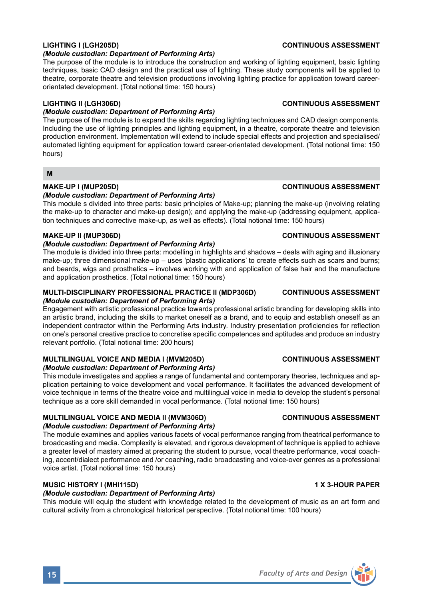#### *(Module custodian: Department of Performing Arts)*

The purpose of the module is to introduce the construction and working of lighting equipment, basic lighting techniques, basic CAD design and the practical use of lighting. These study components will be applied to theatre, corporate theatre and television productions involving lighting practice for application toward careerorientated development. (Total notional time: 150 hours)

### *(Module custodian: Department of Performing Arts)*

The purpose of the module is to expand the skills regarding lighting techniques and CAD design components. Including the use of lighting principles and lighting equipment, in a theatre, corporate theatre and television production environment. Implementation will extend to include special effects and projection and specialised/ automated lighting equipment for application toward career-orientated development. (Total notional time: 150 hours)

#### **M**

## **MAKE-UP I (MUP205D) CONTINUOUS ASSESSMENT**

### *(Module custodian: Department of Performing Arts)*

This module s divided into three parts: basic principles of Make-up; planning the make-up (involving relating the make-up to character and make-up design); and applying the make-up (addressing equipment, application techniques and corrective make-up, as well as effects). (Total notional time: 150 hours)

#### **MAKE-UP II (MUP306D) CONTINUOUS ASSESSMENT**

### *(Module custodian: Department of Performing Arts)*

The module is divided into three parts: modelling in highlights and shadows – deals with aging and illusionary make-up; three dimensional make-up – uses 'plastic applications' to create effects such as scars and burns; and beards, wigs and prosthetics – involves working with and application of false hair and the manufacture and application prosthetics. (Total notional time: 150 hours)

#### **MULTI-DISCIPLINARY PROFESSIONAL PRACTICE II (MDP306D) CONTINUOUS ASSESSMENT**

### *(Module custodian: Department of Performing Arts)*

Engagement with artistic professional practice towards professional artistic branding for developing skills into an artistic brand, including the skills to market oneself as a brand, and to equip and establish oneself as an independent contractor within the Performing Arts industry. Industry presentation proficiencies for reflection on one's personal creative practice to concretise specific competences and aptitudes and produce an industry relevant portfolio. (Total notional time: 200 hours)

### **MULTILINGUAL VOICE AND MEDIA I (MVM205D) CONTINUOUS ASSESSMENT**

#### *(Module custodian: Department of Performing Arts)*

This module investigates and applies a range of fundamental and contemporary theories, techniques and application pertaining to voice development and vocal performance. It facilitates the advanced development of voice technique in terms of the theatre voice and multilingual voice in media to develop the student's personal technique as a core skill demanded in vocal performance. (Total notional time: 150 hours)

### **MULTILINGUAL VOICE AND MEDIA II (MVM306D) CONTINUOUS ASSESSMENT**

#### *(Module custodian: Department of Performing Arts)*

The module examines and applies various facets of vocal performance ranging from theatrical performance to broadcasting and media. Complexity is elevated, and rigorous development of technique is applied to achieve a greater level of mastery aimed at preparing the student to pursue, vocal theatre performance, vocal coaching, accent/dialect performance and /or coaching, radio broadcasting and voice-over genres as a professional voice artist. (Total notional time: 150 hours)

### **MUSIC HISTORY I (MHI115D) 1 X 3-HOUR PAPER**

#### *(Module custodian: Department of Performing Arts)*

This module will equip the student with knowledge related to the development of music as an art form and cultural activity from a chronological historical perspective. (Total notional time: 100 hours)

### **LIGHTING I (LGH205D) CONTINUOUS ASSESSMENT**

#### **LIGHTING II (LGH306D) CONTINUOUS ASSESSMENT**

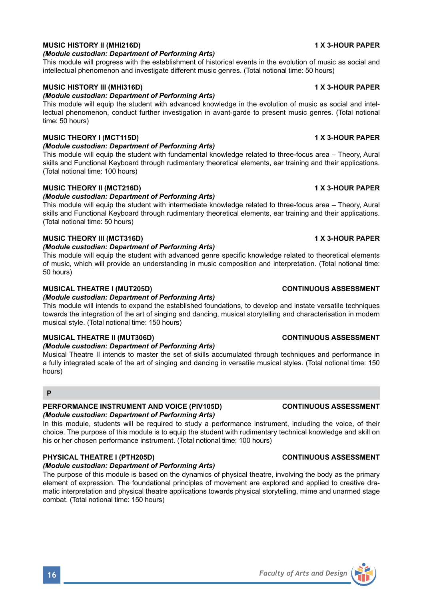

#### **MUSIC HISTORY II (MHI216D) 1 X 3-HOUR PAPER**

#### *(Module custodian: Department of Performing Arts)*

This module will progress with the establishment of historical events in the evolution of music as social and intellectual phenomenon and investigate different music genres. (Total notional time: 50 hours)

#### **MUSIC HISTORY III (MHI316D) 1 X 3-HOUR PAPER**

#### *(Module custodian: Department of Performing Arts)*

This module will equip the student with advanced knowledge in the evolution of music as social and intellectual phenomenon, conduct further investigation in avant-garde to present music genres. (Total notional time: 50 hours)

### **MUSIC THEORY I (MCT115D) 1 X 3-HOUR PAPER**

### *(Module custodian: Department of Performing Arts)*

This module will equip the student with fundamental knowledge related to three-focus area – Theory, Aural skills and Functional Keyboard through rudimentary theoretical elements, ear training and their applications. (Total notional time: 100 hours)

#### **MUSIC THEORY II (MCT216D) 1 X 3-HOUR PAPER**

### *(Module custodian: Department of Performing Arts)*

This module will equip the student with intermediate knowledge related to three-focus area – Theory, Aural skills and Functional Keyboard through rudimentary theoretical elements, ear training and their applications. (Total notional time: 50 hours)

### **MUSIC THEORY III (MCT316D) 1 X 3-HOUR PAPER**

#### *(Module custodian: Department of Performing Arts)*

This module will equip the student with advanced genre specific knowledge related to theoretical elements of music, which will provide an understanding in music composition and interpretation. (Total notional time: 50 hours)

### **MUSICAL THEATRE I (MUT205D) CONTINUOUS ASSESSMENT**

### *(Module custodian: Department of Performing Arts)*

This module will intends to expand the established foundations, to develop and instate versatile techniques towards the integration of the art of singing and dancing, musical storytelling and characterisation in modern musical style. (Total notional time: 150 hours)

#### **MUSICAL THEATRE II (MUT306D) CONTINUOUS ASSESSMENT**

#### *(Module custodian: Department of Performing Arts)*

Musical Theatre II intends to master the set of skills accumulated through techniques and performance in a fully integrated scale of the art of singing and dancing in versatile musical styles. (Total notional time: 150 hours)

### **P**

#### **PERFORMANCE INSTRUMENT AND VOICE (PIV105D) CONTINUOUS ASSESSMENT**

### *(Module custodian: Department of Performing Arts)*

In this module, students will be required to study a performance instrument, including the voice, of their choice. The purpose of this module is to equip the student with rudimentary technical knowledge and skill on his or her chosen performance instrument. (Total notional time: 100 hours)

### **PHYSICAL THEATRE I (PTH205D) CONTINUOUS ASSESSMENT**

### *(Module custodian: Department of Performing Arts)*

The purpose of this module is based on the dynamics of physical theatre, involving the body as the primary element of expression. The foundational principles of movement are explored and applied to creative dramatic interpretation and physical theatre applications towards physical storytelling, mime and unarmed stage combat. (Total notional time: 150 hours)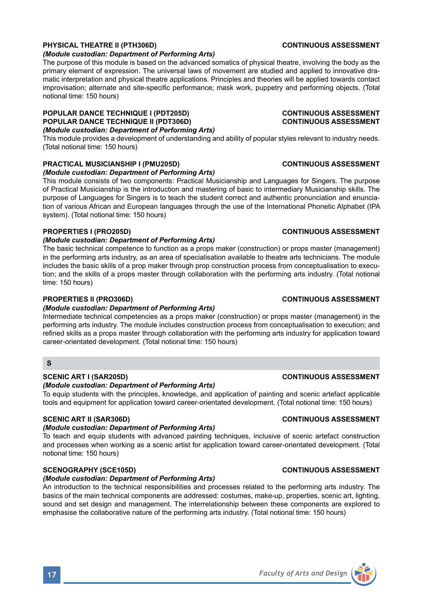## **PHYSICAL THEATRE II (PTH306D) CONTINUOUS ASSESSMENT**

#### *(Module custodian: Department of Performing Arts)*

The purpose of this module is based on the advanced somatics of physical theatre, involving the body as the primary element of expression. The universal laws of movement are studied and applied to innovative dramatic interpretation and physical theatre applications. Principles and theories will be applied towards contact improvisation; alternate and site-specific performance; mask work, puppetry and performing objects. (Total notional time: 150 hours)

## **POPULAR DANCE TECHNIQUE I (PDT205D) CONTINUOUS ASSESSMENT POPULAR DANCE TECHNIQUE II (PDT306D)**

## *(Module custodian: Department of Performing Arts)*

This module provides a development of understanding and ability of popular styles relevant to industry needs. (Total notional time: 150 hours)

### **PRACTICAL MUSICIANSHIP I (PMU205D) CONTINUOUS ASSESSMENT**

## *(Module custodian: Department of Performing Arts)*

This module consists of two components: Practical Musicianship and Languages for Singers. The purpose of Practical Musicianship is the introduction and mastering of basic to intermediary Musicianship skills. The purpose of Languages for Singers is to teach the student correct and authentic pronunciation and enunciation of various African and European languages through the use of the International Phonetic Alphabet (IPA system). (Total notional time: 150 hours)

## **PROPERTIES I (PRO205D) CONTINUOUS ASSESSMENT**

### *(Module custodian: Department of Performing Arts)*

The basic technical competence to function as a props maker (construction) or props master (management) in the performing arts industry, as an area of specialisation available to theatre arts technicians. The module includes the basic skills of a prop maker through prop construction process from conceptualisation to execution; and the skills of a props master through collaboration with the performing arts industry. (Total notional time: 150 hours)

#### **PROPERTIES II (PRO306D) CONTINUOUS ASSESSMENT**

### *(Module custodian: Department of Performing Arts)*

Intermediate technical competencies as a props maker (construction) or props master (management) in the performing arts industry. The module includes construction process from conceptualisation to execution; and refined skills as a props master through collaboration with the performing arts industry for application toward career-orientated development. (Total notional time: 150 hours)

#### **S**

### **SCENIC ART I (SAR205D) CONTINUOUS ASSESSMENT**

#### *(Module custodian: Department of Performing Arts)*

To equip students with the principles, knowledge, and application of painting and scenic artefact applicable tools and equipment for application toward career-orientated development. (Total notional time: 150 hours)

### **SCENIC ART II (SAR306D) CONTINUOUS ASSESSMENT**

#### *(Module custodian: Department of Performing Arts)*

To teach and equip students with advanced painting techniques, inclusive of scenic artefact construction and processes when working as a scenic artist for application toward career-orientated development. (Total notional time: 150 hours)

#### **SCENOGRAPHY (SCE105D) CONTINUOUS ASSESSMENT**

#### *(Module custodian: Department of Performing Arts)*

An introduction to the technical responsibilities and processes related to the performing arts industry. The basics of the main technical components are addressed: costumes, make-up, properties, scenic art, lighting, sound and set design and management. The interrelationship between these components are explored to emphasise the collaborative nature of the performing arts industry. (Total notional time: 150 hours)

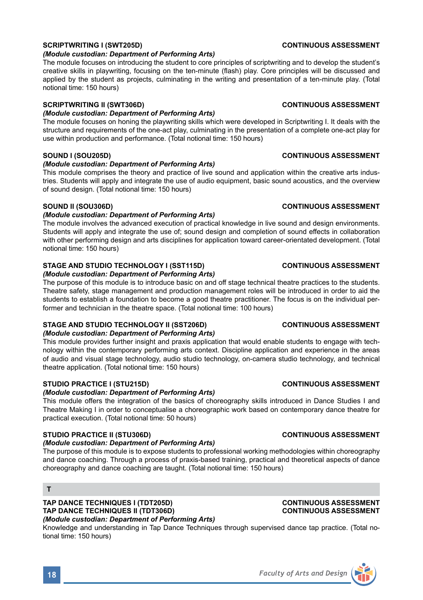## **SCRIPTWRITING I (SWT205D) CONTINUOUS ASSESSMENT**

#### *(Module custodian: Department of Performing Arts)*

The module focuses on introducing the student to core principles of scriptwriting and to develop the student's creative skills in playwriting, focusing on the ten-minute (flash) play. Core principles will be discussed and applied by the student as projects, culminating in the writing and presentation of a ten-minute play. (Total notional time: 150 hours)

#### **SCRIPTWRITING II (SWT306D) CONTINUOUS ASSESSMENT**

### *(Module custodian: Department of Performing Arts)*

The module focuses on honing the playwriting skills which were developed in Scriptwriting I. It deals with the structure and requirements of the one-act play, culminating in the presentation of a complete one-act play for use within production and performance. (Total notional time: 150 hours)

### **SOUND I (SOU205D) CONTINUOUS ASSESSMENT**

#### *(Module custodian: Department of Performing Arts)*

This module comprises the theory and practice of live sound and application within the creative arts industries. Students will apply and integrate the use of audio equipment, basic sound acoustics, and the overview of sound design. (Total notional time: 150 hours)

#### **SOUND II (SOU306D) CONTINUOUS ASSESSMENT**

### *(Module custodian: Department of Performing Arts)*

The module involves the advanced execution of practical knowledge in live sound and design environments. Students will apply and integrate the use of: sound design and completion of sound effects in collaboration with other performing design and arts disciplines for application toward career-orientated development. (Total notional time: 150 hours)

## **STAGE AND STUDIO TECHNOLOGY I (SST115D) CONTINUOUS ASSESSMENT**

### *(Module custodian: Department of Performing Arts)*

The purpose of this module is to introduce basic on and off stage technical theatre practices to the students. Theatre safety, stage management and production management roles will be introduced in order to aid the students to establish a foundation to become a good theatre practitioner. The focus is on the individual performer and technician in the theatre space. (Total notional time: 100 hours)

## **STAGE AND STUDIO TECHNOLOGY II (SST206D) CONTINUOUS ASSESSMENT**

#### *(Module custodian: Department of Performing Arts)*

This module provides further insight and praxis application that would enable students to engage with technology within the contemporary performing arts context. Discipline application and experience in the areas of audio and visual stage technology, audio studio technology, on-camera studio technology, and technical theatre application. (Total notional time: 150 hours)

### **STUDIO PRACTICE I (STU215D) CONTINUOUS ASSESSMENT**

### *(Module custodian: Department of Performing Arts)*

This module offers the integration of the basics of choreography skills introduced in Dance Studies I and Theatre Making I in order to conceptualise a choreographic work based on contemporary dance theatre for practical execution. (Total notional time: 50 hours)

### **STUDIO PRACTICE II (STU306D) CONTINUOUS ASSESSMENT**

#### *(Module custodian: Department of Performing Arts)*

The purpose of this module is to expose students to professional working methodologies within choreography and dance coaching. Through a process of praxis-based training, practical and theoretical aspects of dance choreography and dance coaching are taught. (Total notional time: 150 hours)

#### **TAP DANCE TECHNIQUES I (TDT205D) CONTINUOUS ASSESSMENT TAP DANCE TECHNIQUES II (TDT306D)** *(Module custodian: Department of Performing Arts)*

Knowledge and understanding in Tap Dance Techniques through supervised dance tap practice. (Total notional time: 150 hours)



**T**